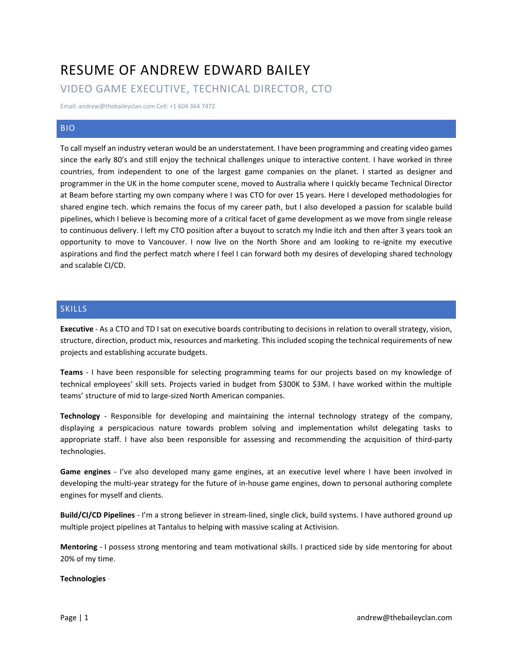# RESUME OF ANDREW EDWARD BAILEY

# VIDEO GAME EXECUTIVE, TECHNICAL DIRECTOR, CTO

Email: andrew@thebaileyclan.com Cell: +1 604 364 7472

## BIO

To call myself an industry veteran would be an understatement. I have been programming and creating video games since the early 80's and still enjoy the technical challenges unique to interactive content. I have worked in three countries, from independent to one of the largest game companies on the planet. I started as designer and programmer in the UK in the home computer scene, moved to Australia where I quickly became Technical Director at Beam before starting my own company where I was CTO for over 15 years. Here I developed methodologies for shared engine tech. which remains the focus of my career path, but I also developed a passion for scalable build pipelines, which I believe is becoming more of a critical facet of game development as we move from single release to continuous delivery. I left my CTO position after a buyout to scratch my Indie itch and then after 3 years took an opportunity to move to Vancouver. I now live on the North Shore and am looking to re-ignite my executive aspirations and find the perfect match where I feel I can forward both my desires of developing shared technology and scalable CI/CD.

# SKILLS

**Executive** - As a CTO and TD I sat on executive boards contributing to decisions in relation to overall strategy, vision, structure, direction, product mix, resources and marketing. This included scoping the technical requirements of new projects and establishing accurate budgets.

**Teams** - I have been responsible for selecting programming teams for our projects based on my knowledge of technical employees' skill sets. Projects varied in budget from \$300K to \$3M. I have worked within the multiple teams' structure of mid to large-sized North American companies.

**Technology** - Responsible for developing and maintaining the internal technology strategy of the company, displaying a perspicacious nature towards problem solving and implementation whilst delegating tasks to appropriate staff. I have also been responsible for assessing and recommending the acquisition of third-party technologies.

**Game engines** - I've also developed many game engines, at an executive level where I have been involved in developing the multi-year strategy for the future of in-house game engines, down to personal authoring complete engines for myself and clients.

**Build/CI/CD Pipelines** - I'm a strong believer in stream-lined, single click, build systems. I have authored ground up multiple project pipelines at Tantalus to helping with massive scaling at Activision.

**Mentoring** - I possess strong mentoring and team motivational skills. I practiced side by side mentoring for about 20% of my time.

#### **Technologies** -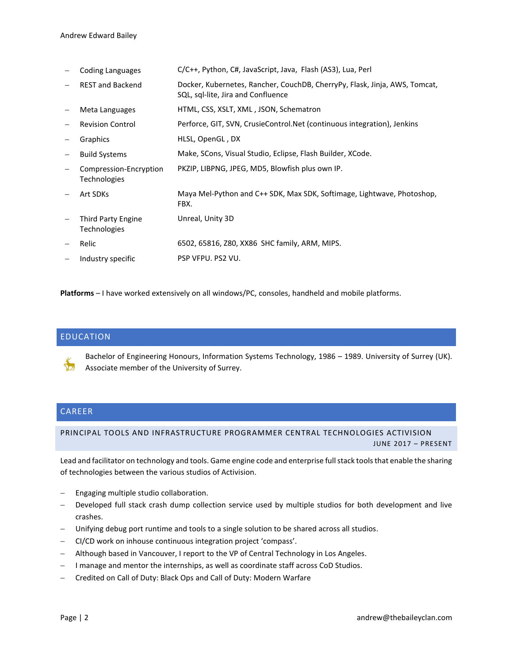− Coding Languages C/C++, Python, C#, JavaScript, Java, Flash (AS3), Lua, Perl − REST and Backend Docker, Kubernetes, Rancher, CouchDB, CherryPy, Flask, Jinja, AWS, Tomcat, SQL, sql-lite, Jira and Confluence − Meta Languages HTML, CSS, XSLT, XML , JSON, Schematron − Revision Control Perforce, GIT, SVN, CrusieControl.Net (continuous integration), Jenkins − Graphics HLSL, OpenGL , DX − Build Systems Make, SCons, Visual Studio, Eclipse, Flash Builder, XCode. − Compression-Encryption Technologies PKZIP, LIBPNG, JPEG, MD5, Blowfish plus own IP. − Art SDKs Maya Mel-Python and C++ SDK, Max SDK, Softimage, Lightwave, Photoshop, FBX. − Third Party Engine Technologies Unreal, Unity 3D − Relic 6502, 65816, Z80, XX86 SHC family, ARM, MIPS. − Industry specific PSP VFPU. PS2 VU.

**Platforms** – I have worked extensively on all windows/PC, consoles, handheld and mobile platforms.

## EDUCATION

Bachelor of Engineering Honours, Information Systems Technology, 1986 – 1989. University of Surrey (UK). Associate member of the University of Surrey.

#### CAREER

#### PRINCIPAL TOOLS AND INFRASTRUCTURE PROGRAMMER CENTRAL TECHNOLOGIES ACTIVISION JUNE 2017 – PRESENT

Lead and facilitator on technology and tools. Game engine code and enterprise full stack tools that enable the sharing of technologies between the various studios of Activision.

- Engaging multiple studio collaboration.
- Developed full stack crash dump collection service used by multiple studios for both development and live crashes.
- Unifying debug port runtime and tools to a single solution to be shared across all studios.
- − CI/CD work on inhouse continuous integration project 'compass'.
- − Although based in Vancouver, I report to the VP of Central Technology in Los Angeles.
- I manage and mentor the internships, as well as coordinate staff across CoD Studios.
- − Credited on Call of Duty: Black Ops and Call of Duty: Modern Warfare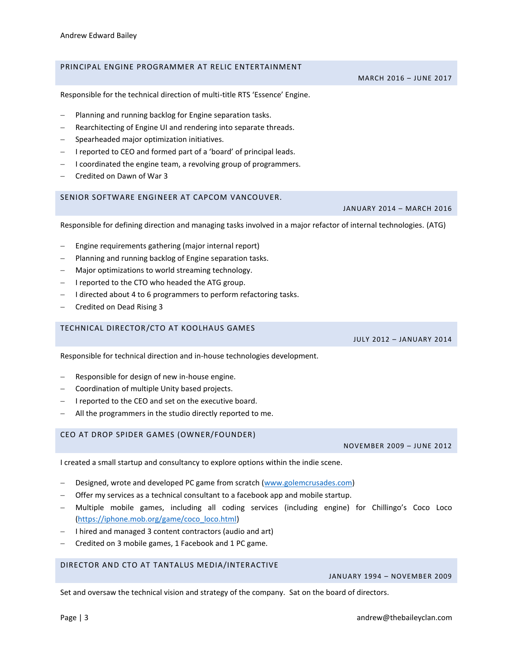## PRINCIPAL ENGINE PROGRAMMER AT RELIC ENTERTAINMENT

Responsible for the technical direction of multi-title RTS 'Essence' Engine.

- Planning and running backlog for Engine separation tasks.
- Rearchitecting of Engine UI and rendering into separate threads.
- − Spearheaded major optimization initiatives.
- − I reported to CEO and formed part of a 'board' of principal leads.
- − I coordinated the engine team, a revolving group of programmers.
- − Credited on Dawn of War 3

#### SENIOR SOFTWARE ENGINEER AT CAPCOM VANCOUVER.

Responsible for defining direction and managing tasks involved in a major refactor of internal technologies. (ATG)

- Engine requirements gathering (major internal report)
- Planning and running backlog of Engine separation tasks.
- Major optimizations to world streaming technology.
- − I reported to the CTO who headed the ATG group.
- − I directed about 4 to 6 programmers to perform refactoring tasks.
- − Credited on Dead Rising 3

#### TECHNICAL DIRECTOR/CTO AT KOOLHAUS GAMES

JULY 2012 – JANUARY 2014

Responsible for technical direction and in-house technologies development.

- Responsible for design of new in-house engine.
- − Coordination of multiple Unity based projects.
- − I reported to the CEO and set on the executive board.
- All the programmers in the studio directly reported to me.

#### CEO AT DROP SPIDER GAMES (OWNER/FOUNDER)

I created a small startup and consultancy to explore options within the indie scene.

- Designed, wrote and developed PC game from scratch [\(www.golemcrusades.com\)](http://www.golemcrusades.com/)
- Offer my services as a technical consultant to a facebook app and mobile startup.
- − Multiple mobile games, including all coding services (including engine) for Chillingo's Coco Loco [\(https://iphone.mob.org/game/coco\\_loco.html\)](https://iphone.mob.org/game/coco_loco.html)
- − I hired and managed 3 content contractors (audio and art)
- − Credited on 3 mobile games, 1 Facebook and 1 PC game.

# DIRECTOR AND CTO AT TANTALUS MEDIA/INTERACTIVE

JANUARY 1994 – NOVEMBER 2009

Set and oversaw the technical vision and strategy of the company. Sat on the board of directors.

MARCH 2016 – JUNE 2017

NOVEMBER 2009 – JUNE 2012

JANUARY 2014 – MARCH 2016